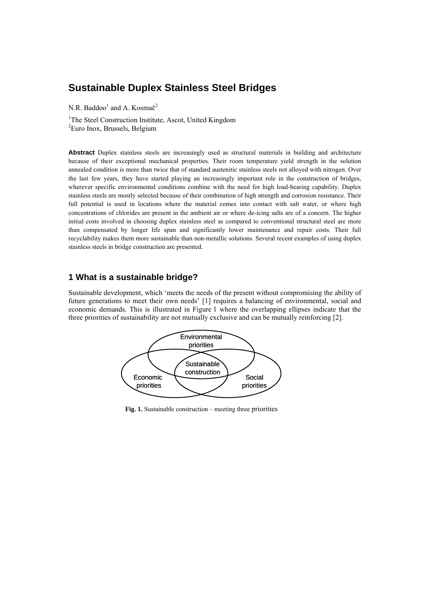# **Sustainable Duplex Stainless Steel Bridges**

N.R. Baddoo<sup>1</sup> and A. Kosmač<sup>2</sup>

<sup>1</sup>The Steel Construction Institute, Ascot, United Kingdom 2 Euro Inox, Brussels, Belgium

**Abstract** Duplex stainless steels are increasingly used as structural materials in building and architecture because of their exceptional mechanical properties. Their room temperature yield strength in the solution annealed condition is more than twice that of standard austenitic stainless steels not alloyed with nitrogen. Over the last few years, they have started playing an increasingly important role in the construction of bridges, wherever specific environmental conditions combine with the need for high load-bearing capability. Duplex stainless steels are mostly selected because of their combination of high strength and corrosion resistance. Their full potential is used in locations where the material comes into contact with salt water, or where high concentrations of chlorides are present in the ambient air or where de-icing salts are of a concern. The higher initial costs involved in choosing duplex stainless steel as compared to conventional structural steel are more than compensated by longer life span and significantly lower maintenance and repair costs. Their full recyclability makes them more sustainable than non-metallic solutions. Several recent examples of using duplex stainless steels in bridge construction are presented.

### **1 What is a sustainable bridge?**

Sustainable development, which 'meets the needs of the present without compromising the ability of future generations to meet their own needs' [1] requires a balancing of environmental, social and economic demands. This is illustrated in Figure 1 where the overlapping ellipses indicate that the three priorities of sustainability are not mutually exclusive and can be mutually reinforcing [2].



**Fig. 1.** Sustainable construction – meeting three priorities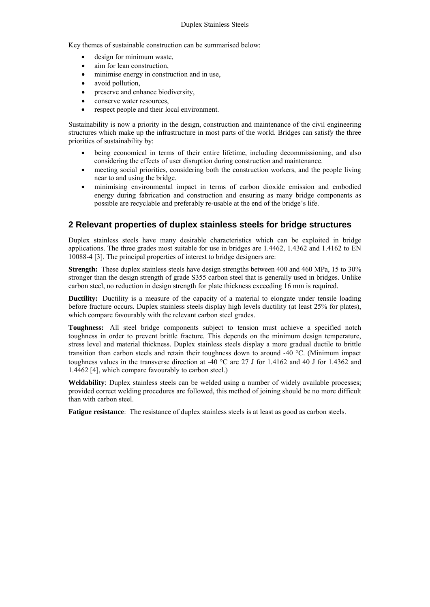Key themes of sustainable construction can be summarised below:

- design for minimum waste,
- aim for lean construction,
- minimise energy in construction and in use,
- avoid pollution,
- preserve and enhance biodiversity,
- conserve water resources,
- respect people and their local environment.

Sustainability is now a priority in the design, construction and maintenance of the civil engineering structures which make up the infrastructure in most parts of the world. Bridges can satisfy the three priorities of sustainability by:

- being economical in terms of their entire lifetime, including decommissioning, and also considering the effects of user disruption during construction and maintenance.
- meeting social priorities, considering both the construction workers, and the people living near to and using the bridge.
- minimising environmental impact in terms of carbon dioxide emission and embodied energy during fabrication and construction and ensuring as many bridge components as possible are recyclable and preferably re-usable at the end of the bridge's life.

# **2 Relevant properties of duplex stainless steels for bridge structures**

Duplex stainless steels have many desirable characteristics which can be exploited in bridge applications. The three grades most suitable for use in bridges are 1.4462, 1.4362 and 1.4162 to EN 10088-4 [3]. The principal properties of interest to bridge designers are:

**Strength:** These duplex stainless steels have design strengths between 400 and 460 MPa, 15 to 30% stronger than the design strength of grade S355 carbon steel that is generally used in bridges. Unlike carbon steel, no reduction in design strength for plate thickness exceeding 16 mm is required.

**Ductility:** Ductility is a measure of the capacity of a material to elongate under tensile loading before fracture occurs. Duplex stainless steels display high levels ductility (at least 25% for plates), which compare favourably with the relevant carbon steel grades.

**Toughness:** All steel bridge components subject to tension must achieve a specified notch toughness in order to prevent brittle fracture. This depends on the minimum design temperature, stress level and material thickness. Duplex stainless steels display a more gradual ductile to brittle transition than carbon steels and retain their toughness down to around  $-40$  °C. (Minimum impact toughness values in the transverse direction at -40  $^{\circ}$ C are 27 J for 1.4162 and 40 J for 1.4362 and 1.4462 [4], which compare favourably to carbon steel.)

**Weldability**: Duplex stainless steels can be welded using a number of widely available processes; provided correct welding procedures are followed, this method of joining should be no more difficult than with carbon steel.

**Fatigue resistance**: The resistance of duplex stainless steels is at least as good as carbon steels.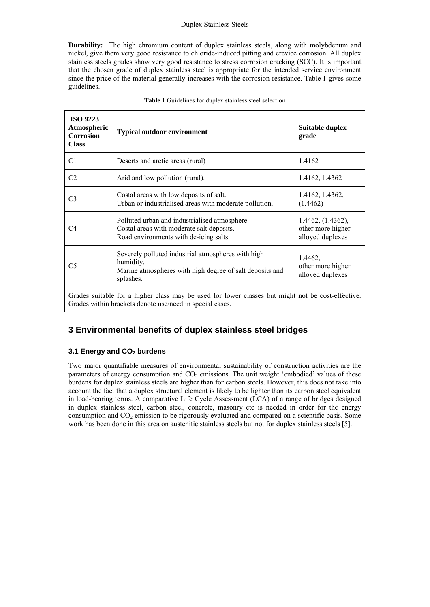**Durability:** The high chromium content of duplex stainless steels, along with molybdenum and nickel, give them very good resistance to chloride-induced pitting and crevice corrosion. All duplex stainless steels grades show very good resistance to stress corrosion cracking (SCC). It is important that the chosen grade of duplex stainless steel is appropriate for the intended service environment since the price of the material generally increases with the corrosion resistance. Table 1 gives some guidelines.

| <b>ISO 9223</b><br>Atmospheric<br><b>Corrosion</b><br><b>Class</b>                                                                                            | <b>Typical outdoor environment</b>                                                                                                       | <b>Suitable duplex</b><br>grade                            |  |  |
|---------------------------------------------------------------------------------------------------------------------------------------------------------------|------------------------------------------------------------------------------------------------------------------------------------------|------------------------------------------------------------|--|--|
| C1                                                                                                                                                            | Deserts and arctic areas (rural)                                                                                                         | 1.4162                                                     |  |  |
| C <sub>2</sub>                                                                                                                                                | Arid and low pollution (rural).                                                                                                          | 1.4162, 1.4362                                             |  |  |
| C3                                                                                                                                                            | Costal areas with low deposits of salt.<br>Urban or industrialised areas with moderate pollution.                                        | 1.4162, 1.4362,<br>(1.4462)                                |  |  |
| C4                                                                                                                                                            | Polluted urban and industrialised atmosphere.<br>Costal areas with moderate salt deposits.<br>Road environments with de-icing salts.     | 1.4462, (1.4362),<br>other more higher<br>alloyed duplexes |  |  |
| C5                                                                                                                                                            | Severely polluted industrial atmospheres with high<br>humidity.<br>Marine atmospheres with high degree of salt deposits and<br>splashes. | 1.4462,<br>other more higher<br>alloyed duplexes           |  |  |
| Grades suitable for a higher class may be used for lower classes but might not be cost-effective.<br>Grades within brackets denote use/need in special cases. |                                                                                                                                          |                                                            |  |  |

# **3 Environmental benefits of duplex stainless steel bridges**

### **3.1 Energy and CO<sub>2</sub> burdens**

Two major quantifiable measures of environmental sustainability of construction activities are the parameters of energy consumption and  $CO<sub>2</sub>$  emissions. The unit weight 'embodied' values of these burdens for duplex stainless steels are higher than for carbon steels. However, this does not take into account the fact that a duplex structural element is likely to be lighter than its carbon steel equivalent in load-bearing terms. A comparative Life Cycle Assessment (LCA) of a range of bridges designed in duplex stainless steel, carbon steel, concrete, masonry etc is needed in order for the energy consumption and  $CO<sub>2</sub>$  emission to be rigorously evaluated and compared on a scientific basis. Some work has been done in this area on austenitic stainless steels but not for duplex stainless steels [5].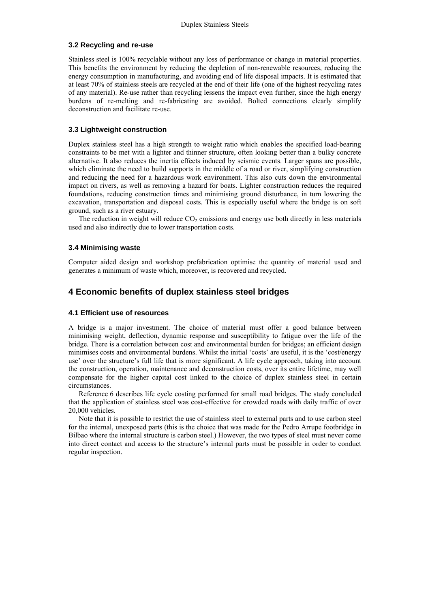#### **3.2 Recycling and re-use**

Stainless steel is 100% recyclable without any loss of performance or change in material properties. This benefits the environment by reducing the depletion of non-renewable resources, reducing the energy consumption in manufacturing, and avoiding end of life disposal impacts. It is estimated that at least 70% of stainless steels are recycled at the end of their life (one of the highest recycling rates of any material). Re-use rather than recycling lessens the impact even further, since the high energy burdens of re-melting and re-fabricating are avoided. Bolted connections clearly simplify deconstruction and facilitate re-use.

### **3.3 Lightweight construction**

Duplex stainless steel has a high strength to weight ratio which enables the specified load-bearing constraints to be met with a lighter and thinner structure, often looking better than a bulky concrete alternative. It also reduces the inertia effects induced by seismic events. Larger spans are possible, which eliminate the need to build supports in the middle of a road or river, simplifying construction and reducing the need for a hazardous work environment. This also cuts down the environmental impact on rivers, as well as removing a hazard for boats. Lighter construction reduces the required foundations, reducing construction times and minimising ground disturbance, in turn lowering the excavation, transportation and disposal costs. This is especially useful where the bridge is on soft ground, such as a river estuary.

The reduction in weight will reduce  $CO<sub>2</sub>$  emissions and energy use both directly in less materials used and also indirectly due to lower transportation costs.

#### **3.4 Minimising waste**

Computer aided design and workshop prefabrication optimise the quantity of material used and generates a minimum of waste which, moreover, is recovered and recycled.

### **4 Economic benefits of duplex stainless steel bridges**

#### **4.1 Efficient use of resources**

A bridge is a major investment. The choice of material must offer a good balance between minimising weight, deflection, dynamic response and susceptibility to fatigue over the life of the bridge. There is a correlation between cost and environmental burden for bridges; an efficient design minimises costs and environmental burdens. Whilst the initial 'costs' are useful, it is the 'cost/energy use' over the structure's full life that is more significant. A life cycle approach, taking into account the construction, operation, maintenance and deconstruction costs, over its entire lifetime, may well compensate for the higher capital cost linked to the choice of duplex stainless steel in certain circumstances.

Reference 6 describes life cycle costing performed for small road bridges. The study concluded that the application of stainless steel was cost-effective for crowded roads with daily traffic of over 20,000 vehicles.

Note that it is possible to restrict the use of stainless steel to external parts and to use carbon steel for the internal, unexposed parts (this is the choice that was made for the Pedro Arrupe footbridge in Bilbao where the internal structure is carbon steel.) However, the two types of steel must never come into direct contact and access to the structure's internal parts must be possible in order to conduct regular inspection.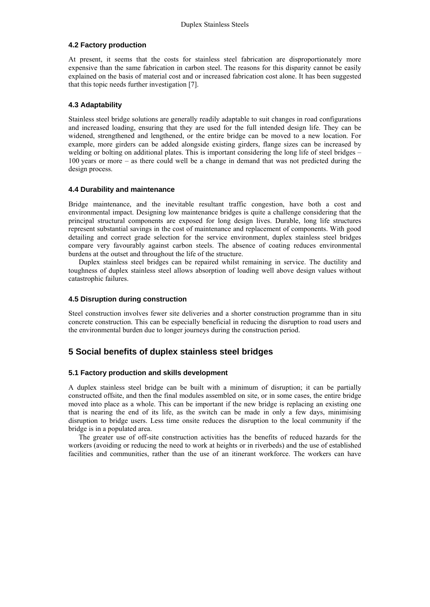### **4.2 Factory production**

At present, it seems that the costs for stainless steel fabrication are disproportionately more expensive than the same fabrication in carbon steel. The reasons for this disparity cannot be easily explained on the basis of material cost and or increased fabrication cost alone. It has been suggested that this topic needs further investigation [7].

### **4.3 Adaptability**

Stainless steel bridge solutions are generally readily adaptable to suit changes in road configurations and increased loading, ensuring that they are used for the full intended design life. They can be widened, strengthened and lengthened, or the entire bridge can be moved to a new location. For example, more girders can be added alongside existing girders, flange sizes can be increased by welding or bolting on additional plates. This is important considering the long life of steel bridges – 100 years or more – as there could well be a change in demand that was not predicted during the design process.

### **4.4 Durability and maintenance**

Bridge maintenance, and the inevitable resultant traffic congestion, have both a cost and environmental impact. Designing low maintenance bridges is quite a challenge considering that the principal structural components are exposed for long design lives. Durable, long life structures represent substantial savings in the cost of maintenance and replacement of components. With good detailing and correct grade selection for the service environment, duplex stainless steel bridges compare very favourably against carbon steels. The absence of coating reduces environmental burdens at the outset and throughout the life of the structure.

Duplex stainless steel bridges can be repaired whilst remaining in service. The ductility and toughness of duplex stainless steel allows absorption of loading well above design values without catastrophic failures.

### **4.5 Disruption during construction**

Steel construction involves fewer site deliveries and a shorter construction programme than in situ concrete construction. This can be especially beneficial in reducing the disruption to road users and the environmental burden due to longer journeys during the construction period.

## **5 Social benefits of duplex stainless steel bridges**

### **5.1 Factory production and skills development**

A duplex stainless steel bridge can be built with a minimum of disruption; it can be partially constructed offsite, and then the final modules assembled on site, or in some cases, the entire bridge moved into place as a whole. This can be important if the new bridge is replacing an existing one that is nearing the end of its life, as the switch can be made in only a few days, minimising disruption to bridge users. Less time onsite reduces the disruption to the local community if the bridge is in a populated area.

The greater use of off-site construction activities has the benefits of reduced hazards for the workers (avoiding or reducing the need to work at heights or in riverbeds) and the use of established facilities and communities, rather than the use of an itinerant workforce. The workers can have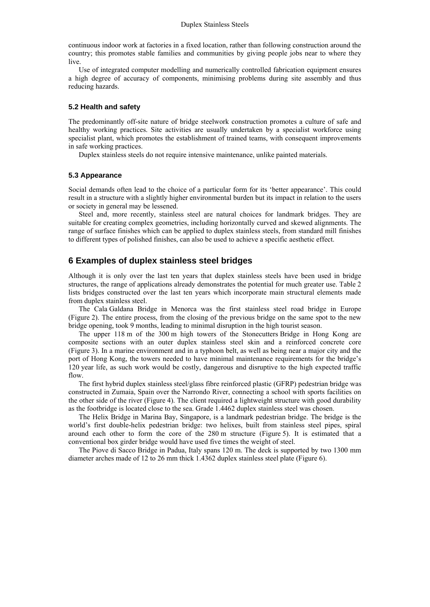continuous indoor work at factories in a fixed location, rather than following construction around the country; this promotes stable families and communities by giving people jobs near to where they live.

Use of integrated computer modelling and numerically controlled fabrication equipment ensures a high degree of accuracy of components, minimising problems during site assembly and thus reducing hazards.

#### **5.2 Health and safety**

The predominantly off-site nature of bridge steelwork construction promotes a culture of safe and healthy working practices. Site activities are usually undertaken by a specialist workforce using specialist plant, which promotes the establishment of trained teams, with consequent improvements in safe working practices.

Duplex stainless steels do not require intensive maintenance, unlike painted materials.

#### **5.3 Appearance**

Social demands often lead to the choice of a particular form for its 'better appearance'. This could result in a structure with a slightly higher environmental burden but its impact in relation to the users or society in general may be lessened.

Steel and, more recently, stainless steel are natural choices for landmark bridges. They are suitable for creating complex geometries, including horizontally curved and skewed alignments. The range of surface finishes which can be applied to duplex stainless steels, from standard mill finishes to different types of polished finishes, can also be used to achieve a specific aesthetic effect.

### **6 Examples of duplex stainless steel bridges**

Although it is only over the last ten years that duplex stainless steels have been used in bridge structures, the range of applications already demonstrates the potential for much greater use. Table 2 lists bridges constructed over the last ten years which incorporate main structural elements made from duplex stainless steel.

The Cala Galdana Bridge in Menorca was the first stainless steel road bridge in Europe (Figure 2). The entire process, from the closing of the previous bridge on the same spot to the new bridge opening, took 9 months, leading to minimal disruption in the high tourist season.

The upper 118 m of the 300 m high towers of the Stonecutters Bridge in Hong Kong are composite sections with an outer duplex stainless steel skin and a reinforced concrete core (Figure 3). In a marine environment and in a typhoon belt, as well as being near a major city and the port of Hong Kong, the towers needed to have minimal maintenance requirements for the bridge's 120 year life, as such work would be costly, dangerous and disruptive to the high expected traffic flow.

The first hybrid duplex stainless steel/glass fibre reinforced plastic (GFRP) pedestrian bridge was constructed in Zumaia, Spain over the Narrondo River, connecting a school with sports facilities on the other side of the river (Figure 4). The client required a lightweight structure with good durability as the footbridge is located close to the sea. Grade 1.4462 duplex stainless steel was chosen.

The Helix Bridge in Marina Bay, Singapore, is a landmark pedestrian bridge. The bridge is the world's first double-helix pedestrian bridge: two helixes, built from stainless steel pipes, spiral around each other to form the core of the 280 m structure (Figure 5). It is estimated that a conventional box girder bridge would have used five times the weight of steel.

The Piove di Sacco Bridge in Padua, Italy spans 120 m. The deck is supported by two 1300 mm diameter arches made of 12 to 26 mm thick 1.4362 duplex stainless steel plate (Figure 6).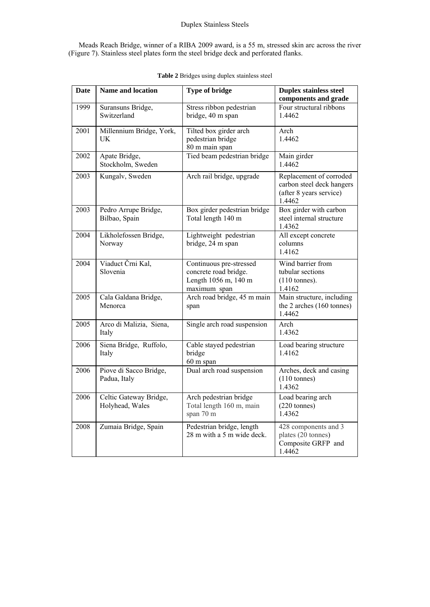Meads Reach Bridge, winner of a RIBA 2009 award, is a 55 m, stressed skin arc across the river (Figure 7). Stainless steel plates form the steel bridge deck and perforated flanks.

| <b>Date</b> | <b>Name and location</b>                  | <b>Type of bridge</b>                                                                    | <b>Duplex stainless steel</b><br>components and grade                                     |
|-------------|-------------------------------------------|------------------------------------------------------------------------------------------|-------------------------------------------------------------------------------------------|
| 1999        | Suransuns Bridge,<br>Switzerland          | Stress ribbon pedestrian<br>bridge, 40 m span                                            | Four structural ribbons<br>1.4462                                                         |
| 2001        | Millennium Bridge, York,<br>UK            | Tilted box girder arch<br>pedestrian bridge<br>80 m main span                            | Arch<br>1.4462                                                                            |
| 2002        | Apate Bridge,<br>Stockholm, Sweden        | Tied beam pedestrian bridge                                                              | Main girder<br>1.4462                                                                     |
| 2003        | Kungalv, Sweden                           | Arch rail bridge, upgrade                                                                | Replacement of corroded<br>carbon steel deck hangers<br>(after 8 years service)<br>1.4462 |
| 2003        | Pedro Arrupe Bridge,<br>Bilbao, Spain     | Box girder pedestrian bridge<br>Total length 140 m                                       | Box girder with carbon<br>steel internal structure<br>1.4362                              |
| 2004        | Likholefossen Bridge,<br>Norway           | Lightweight pedestrian<br>bridge, 24 m span                                              | All except concrete<br>columns<br>1.4162                                                  |
| 2004        | Viaduct Črni Kal,<br>Slovenia             | Continuous pre-stressed<br>concrete road bridge.<br>Length 1056 m, 140 m<br>maximum span | Wind barrier from<br>tubular sections<br>$(110 \t{t$<br>1.4162                            |
| 2005        | Cala Galdana Bridge,<br>Menorca           | Arch road bridge, 45 m main<br>span                                                      | Main structure, including<br>the 2 arches (160 tonnes)<br>1.4462                          |
| 2005        | Arco di Malizia, Siena,<br>Italy          | Single arch road suspension                                                              | Arch<br>1.4362                                                                            |
| 2006        | Siena Bridge, Ruffolo,<br>Italy           | Cable stayed pedestrian<br>bridge<br>60 m span                                           | Load bearing structure<br>1.4162                                                          |
| 2006        | Piove di Sacco Bridge,<br>Padua, Italy    | Dual arch road suspension                                                                | Arches, deck and casing<br>$(110 \t{t$<br>1.4362                                          |
| 2006        | Celtic Gateway Bridge,<br>Holyhead, Wales | Arch pedestrian bridge<br>Total length 160 m, main<br>span 70 m                          | Load bearing arch<br>$(220 \text{ tonnes})$<br>1.4362                                     |
| 2008        | Zumaia Bridge, Spain                      | Pedestrian bridge, length<br>28 m with a 5 m wide deck.                                  | 428 components and 3<br>plates (20 tonnes)<br>Composite GRFP and<br>1.4462                |

|  |  | Table 2 Bridges using duplex stainless steel |  |
|--|--|----------------------------------------------|--|
|  |  |                                              |  |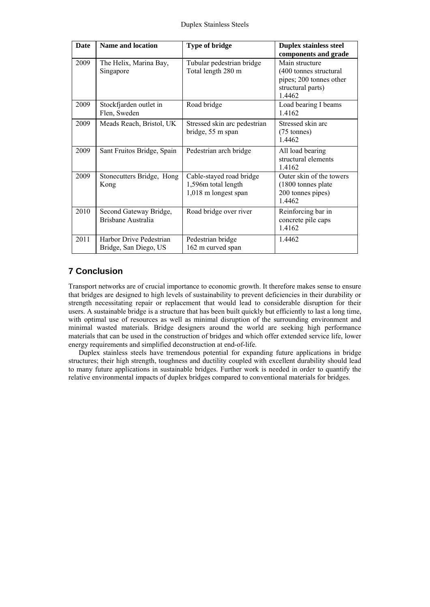| <b>Date</b> | <b>Name and location</b>                         | <b>Type of bridge</b>                                                   | <b>Duplex stainless steel</b><br>components and grade                                              |
|-------------|--------------------------------------------------|-------------------------------------------------------------------------|----------------------------------------------------------------------------------------------------|
| 2009        | The Helix, Marina Bay,<br>Singapore              | Tubular pedestrian bridge<br>Total length 280 m                         | Main structure<br>(400 tonnes structural<br>pipes; 200 tonnes other<br>structural parts)<br>1.4462 |
| 2009        | Stockfjarden outlet in<br>Flen, Sweden           | Road bridge                                                             | Load bearing I beams<br>1.4162                                                                     |
| 2009        | Meads Reach, Bristol, UK                         | Stressed skin arc pedestrian<br>bridge, 55 m span                       | Stressed skin arc<br>$(75 \text{ tonnes})$<br>1.4462                                               |
| 2009        | Sant Fruitos Bridge, Spain                       | Pedestrian arch bridge                                                  | All load bearing<br>structural elements<br>14162                                                   |
| 2009        | Stonecutters Bridge, Hong<br>Kong                | Cable-stayed road bridge<br>1,596m total length<br>1,018 m longest span | Outer skin of the towers<br>(1800 tonnes plate)<br>200 tonnes pipes)<br>14462                      |
| 2010        | Second Gateway Bridge,<br>Brisbane Australia     | Road bridge over river                                                  | Reinforcing bar in<br>concrete pile caps<br>1.4162                                                 |
| 2011        | Harbor Drive Pedestrian<br>Bridge, San Diego, US | Pedestrian bridge<br>162 m curved span                                  | 1.4462                                                                                             |

# **7 Conclusion**

Transport networks are of crucial importance to economic growth. It therefore makes sense to ensure that bridges are designed to high levels of sustainability to prevent deficiencies in their durability or strength necessitating repair or replacement that would lead to considerable disruption for their users. A sustainable bridge is a structure that has been built quickly but efficiently to last a long time, with optimal use of resources as well as minimal disruption of the surrounding environment and minimal wasted materials. Bridge designers around the world are seeking high performance materials that can be used in the construction of bridges and which offer extended service life, lower energy requirements and simplified deconstruction at end-of-life.

Duplex stainless steels have tremendous potential for expanding future applications in bridge structures; their high strength, toughness and ductility coupled with excellent durability should lead to many future applications in sustainable bridges. Further work is needed in order to quantify the relative environmental impacts of duplex bridges compared to conventional materials for bridges.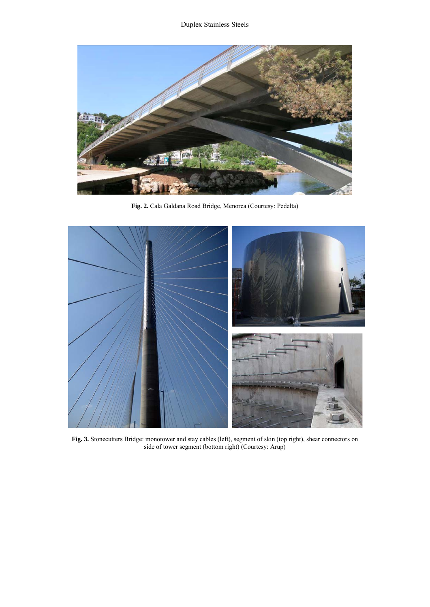

**Fig. 2.** Cala Galdana Road Bridge, Menorca (Courtesy: Pedelta)



**Fig. 3.** Stonecutters Bridge: monotower and stay cables (left), segment of skin (top right), shear connectors on side of tower segment (bottom right) (Courtesy: Arup)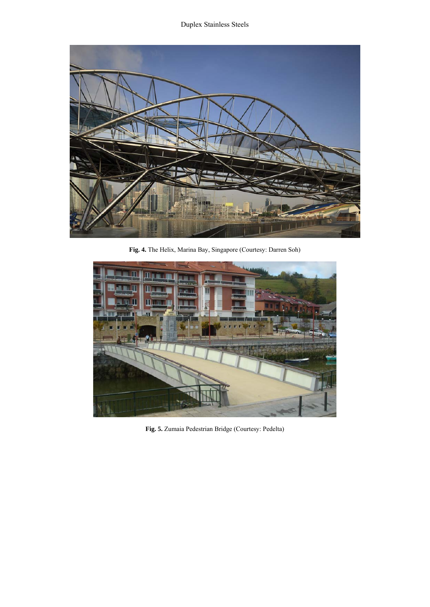

**Fig. 4.** The Helix, Marina Bay, Singapore (Courtesy: Darren Soh)



**Fig. 5.** Zumaia Pedestrian Bridge (Courtesy: Pedelta)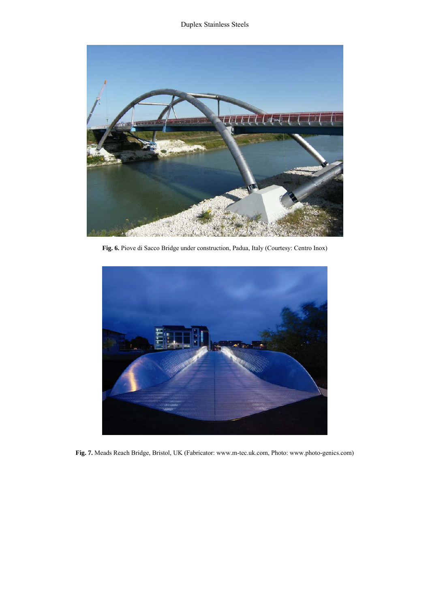

**Fig. 6.** Piove di Sacco Bridge under construction, Padua, Italy (Courtesy: Centro Inox)



**Fig. 7.** Meads Reach Bridge, Bristol, UK (Fabricator: www.m-tec.uk.com, Photo: www.photo-genics.com)